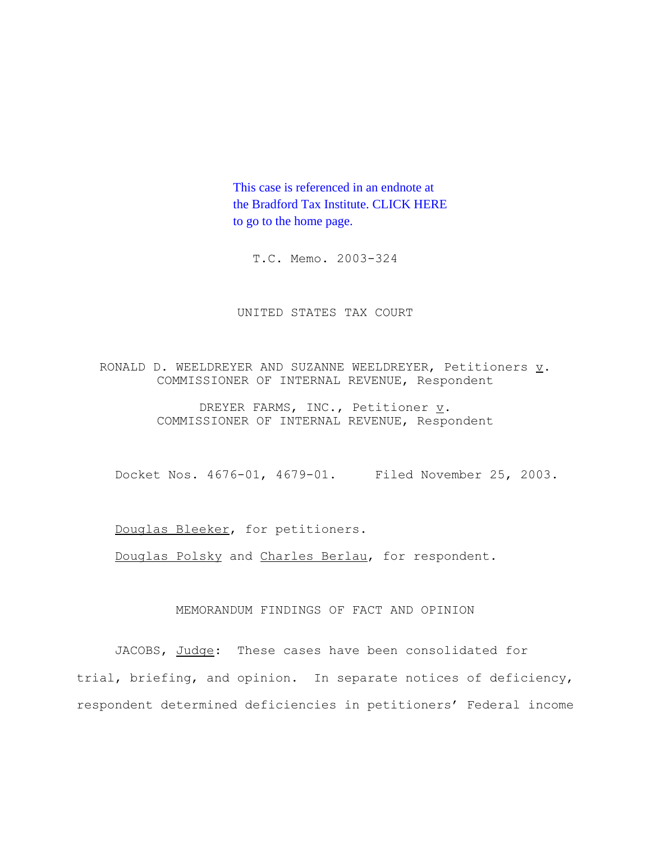This case is referenced in an endnote at [the Bradford Tax Institute. CLICK HERE](http://www.bradfordtaxinstitute.com/) to go to the home page.

T.C. Memo. 2003-324

UNITED STATES TAX COURT

RONALD D. WEELDREYER AND SUZANNE WEELDREYER, Petitioners  $\underline{v}$ . COMMISSIONER OF INTERNAL REVENUE, Respondent

> DREYER FARMS, INC., Petitioner  $\underline{v}$ . COMMISSIONER OF INTERNAL REVENUE, Respondent

Docket Nos. 4676-01, 4679-01. Filed November 25, 2003.

Douglas Bleeker, for petitioners.

Douglas Polsky and Charles Berlau, for respondent.

# MEMORANDUM FINDINGS OF FACT AND OPINION

JACOBS, Judge: These cases have been consolidated for trial, briefing, and opinion. In separate notices of deficiency, respondent determined deficiencies in petitioners' Federal income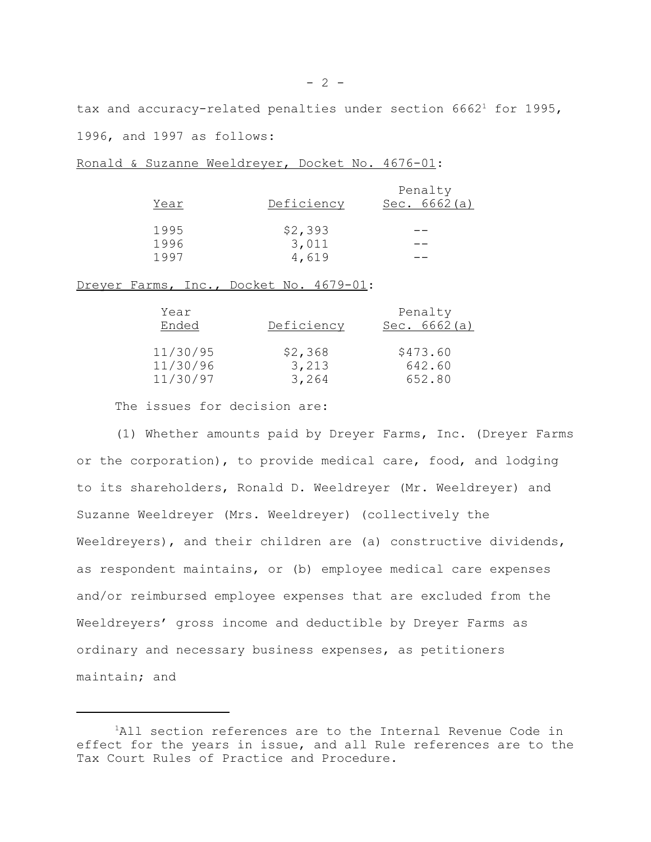tax and accuracy-related penalties under section  $6662<sup>1</sup>$  for 1995, 1996, and 1997 as follows:

| Year | Deficiency | Penalty<br>Sec. $6662(a)$ |
|------|------------|---------------------------|
| 1995 | \$2,393    |                           |
| 1996 | 3,011      |                           |
| 1997 | 4,619      |                           |

Ronald & Suzanne Weeldreyer, Docket No. 4676-01:

Dreyer Farms, Inc., Docket No. 4679-01:

| Year<br>Ended | Deficiency | Penalty<br>Sec. $6662(a)$ |
|---------------|------------|---------------------------|
| 11/30/95      | \$2,368    | \$473.60                  |
| 11/30/96      | 3,213      | 642.60                    |
| 11/30/97      | 3,264      | 652.80                    |

The issues for decision are:

(1) Whether amounts paid by Dreyer Farms, Inc. (Dreyer Farms or the corporation), to provide medical care, food, and lodging to its shareholders, Ronald D. Weeldreyer (Mr. Weeldreyer) and Suzanne Weeldreyer (Mrs. Weeldreyer) (collectively the Weeldreyers), and their children are (a) constructive dividends, as respondent maintains, or (b) employee medical care expenses and/or reimbursed employee expenses that are excluded from the Weeldreyers' gross income and deductible by Dreyer Farms as ordinary and necessary business expenses, as petitioners maintain; and

<sup>&</sup>lt;sup>1</sup>All section references are to the Internal Revenue Code in effect for the years in issue, and all Rule references are to the Tax Court Rules of Practice and Procedure.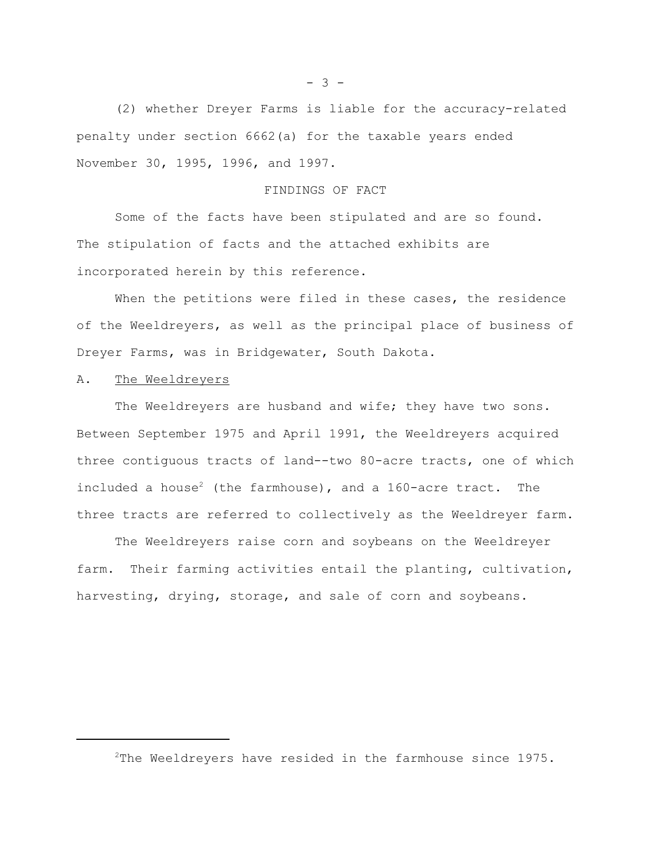(2) whether Dreyer Farms is liable for the accuracy-related penalty under section 6662(a) for the taxable years ended November 30, 1995, 1996, and 1997.

# FINDINGS OF FACT

Some of the facts have been stipulated and are so found. The stipulation of facts and the attached exhibits are incorporated herein by this reference.

When the petitions were filed in these cases, the residence of the Weeldreyers, as well as the principal place of business of Dreyer Farms, was in Bridgewater, South Dakota.

# A. The Weeldreyers

The Weeldreyers are husband and wife; they have two sons. Between September 1975 and April 1991, the Weeldreyers acquired three contiguous tracts of land--two 80-acre tracts, one of which included a house<sup>2</sup> (the farmhouse), and a  $160$ -acre tract. The three tracts are referred to collectively as the Weeldreyer farm.

The Weeldreyers raise corn and soybeans on the Weeldreyer farm. Their farming activities entail the planting, cultivation, harvesting, drying, storage, and sale of corn and soybeans.

 $- 3 -$ 

<sup>2</sup>The Weeldreyers have resided in the farmhouse since 1975.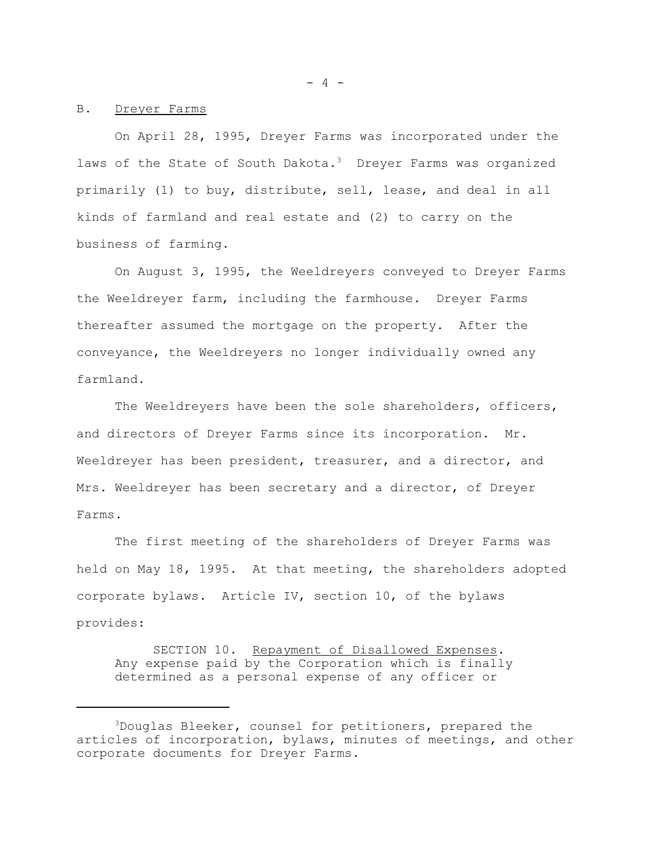#### B. Dreyer Farms

On April 28, 1995, Dreyer Farms was incorporated under the laws of the State of South Dakota.<sup>3</sup> Dreyer Farms was organized primarily (1) to buy, distribute, sell, lease, and deal in all kinds of farmland and real estate and (2) to carry on the business of farming.

On August 3, 1995, the Weeldreyers conveyed to Dreyer Farms the Weeldreyer farm, including the farmhouse. Dreyer Farms thereafter assumed the mortgage on the property. After the conveyance, the Weeldreyers no longer individually owned any farmland.

The Weeldreyers have been the sole shareholders, officers, and directors of Dreyer Farms since its incorporation. Mr. Weeldreyer has been president, treasurer, and a director, and Mrs. Weeldreyer has been secretary and a director, of Dreyer Farms.

The first meeting of the shareholders of Dreyer Farms was held on May 18, 1995. At that meeting, the shareholders adopted corporate bylaws. Article IV, section 10, of the bylaws provides:

SECTION 10. Repayment of Disallowed Expenses. Any expense paid by the Corporation which is finally determined as a personal expense of any officer or

 $- 4 -$ 

<sup>3</sup>Douglas Bleeker, counsel for petitioners, prepared the articles of incorporation, bylaws, minutes of meetings, and other corporate documents for Dreyer Farms.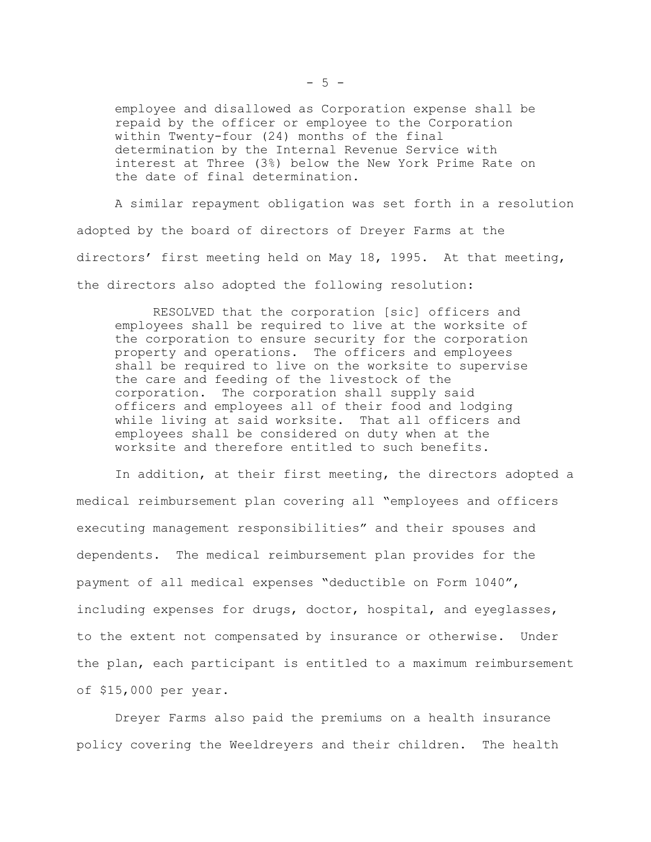employee and disallowed as Corporation expense shall be repaid by the officer or employee to the Corporation within Twenty-four (24) months of the final determination by the Internal Revenue Service with interest at Three (3%) below the New York Prime Rate on the date of final determination.

A similar repayment obligation was set forth in a resolution adopted by the board of directors of Dreyer Farms at the directors' first meeting held on May 18, 1995. At that meeting, the directors also adopted the following resolution:

RESOLVED that the corporation [sic] officers and employees shall be required to live at the worksite of the corporation to ensure security for the corporation property and operations. The officers and employees shall be required to live on the worksite to supervise the care and feeding of the livestock of the corporation. The corporation shall supply said officers and employees all of their food and lodging while living at said worksite. That all officers and employees shall be considered on duty when at the worksite and therefore entitled to such benefits.

In addition, at their first meeting, the directors adopted a medical reimbursement plan covering all "employees and officers executing management responsibilities" and their spouses and dependents. The medical reimbursement plan provides for the payment of all medical expenses "deductible on Form 1040", including expenses for drugs, doctor, hospital, and eyeglasses, to the extent not compensated by insurance or otherwise. Under the plan, each participant is entitled to a maximum reimbursement of \$15,000 per year.

Dreyer Farms also paid the premiums on a health insurance policy covering the Weeldreyers and their children. The health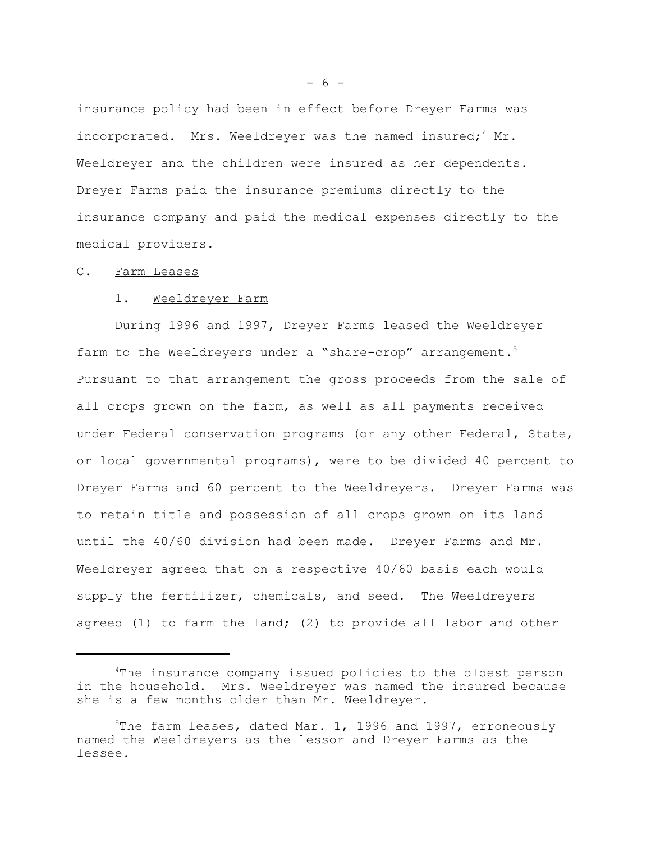insurance policy had been in effect before Dreyer Farms was incorporated. Mrs. Weeldrever was the named insured;  $4$  Mr. Weeldreyer and the children were insured as her dependents. Dreyer Farms paid the insurance premiums directly to the insurance company and paid the medical expenses directly to the medical providers.

## C. Farm Leases

# 1. Weeldreyer Farm

During 1996 and 1997, Dreyer Farms leased the Weeldreyer farm to the Weeldreyers under a "share-crop" arrangement.<sup>5</sup> Pursuant to that arrangement the gross proceeds from the sale of all crops grown on the farm, as well as all payments received under Federal conservation programs (or any other Federal, State, or local governmental programs), were to be divided 40 percent to Dreyer Farms and 60 percent to the Weeldreyers. Dreyer Farms was to retain title and possession of all crops grown on its land until the 40/60 division had been made. Dreyer Farms and Mr. Weeldreyer agreed that on a respective 40/60 basis each would supply the fertilizer, chemicals, and seed. The Weeldreyers agreed (1) to farm the land; (2) to provide all labor and other

 $- 6 -$ 

<sup>&</sup>lt;sup>4</sup>The insurance company issued policies to the oldest person in the household. Mrs. Weeldreyer was named the insured because she is a few months older than Mr. Weeldreyer.

 $5$ The farm leases, dated Mar. 1, 1996 and 1997, erroneously named the Weeldreyers as the lessor and Dreyer Farms as the lessee.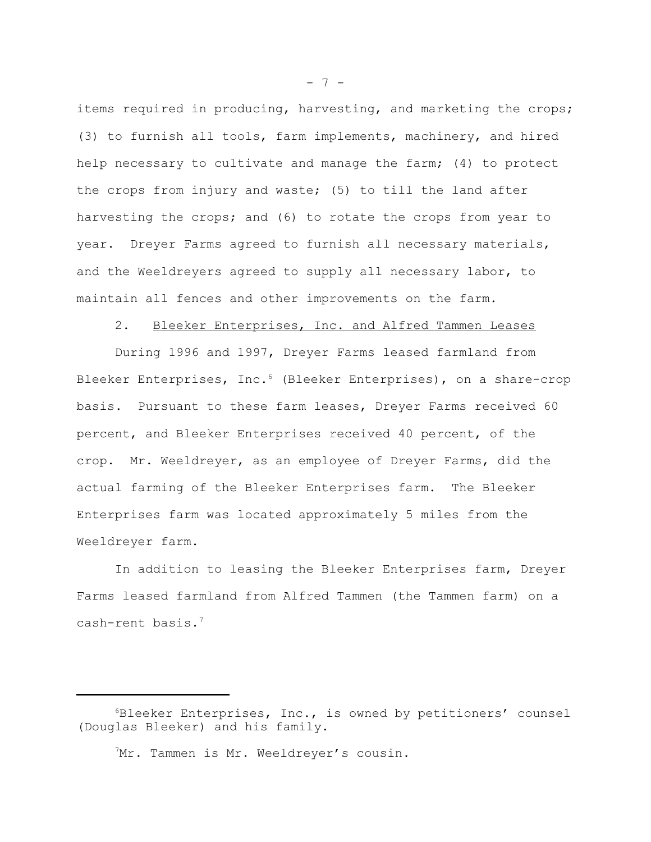items required in producing, harvesting, and marketing the crops; (3) to furnish all tools, farm implements, machinery, and hired help necessary to cultivate and manage the farm; (4) to protect the crops from injury and waste; (5) to till the land after harvesting the crops; and (6) to rotate the crops from year to year. Dreyer Farms agreed to furnish all necessary materials, and the Weeldreyers agreed to supply all necessary labor, to maintain all fences and other improvements on the farm.

# 2. Bleeker Enterprises, Inc. and Alfred Tammen Leases

During 1996 and 1997, Dreyer Farms leased farmland from Bleeker Enterprises, Inc.<sup>6</sup> (Bleeker Enterprises), on a share-crop basis. Pursuant to these farm leases, Dreyer Farms received 60 percent, and Bleeker Enterprises received 40 percent, of the crop. Mr. Weeldreyer, as an employee of Dreyer Farms, did the actual farming of the Bleeker Enterprises farm. The Bleeker Enterprises farm was located approximately 5 miles from the Weeldreyer farm.

In addition to leasing the Bleeker Enterprises farm, Dreyer Farms leased farmland from Alfred Tammen (the Tammen farm) on a cash-rent basis.7

<sup>7</sup>Mr. Tammen is Mr. Weeldreyer's cousin.

 $- 7 -$ 

 $6B$ leeker Enterprises, Inc., is owned by petitioners' counsel (Douglas Bleeker) and his family.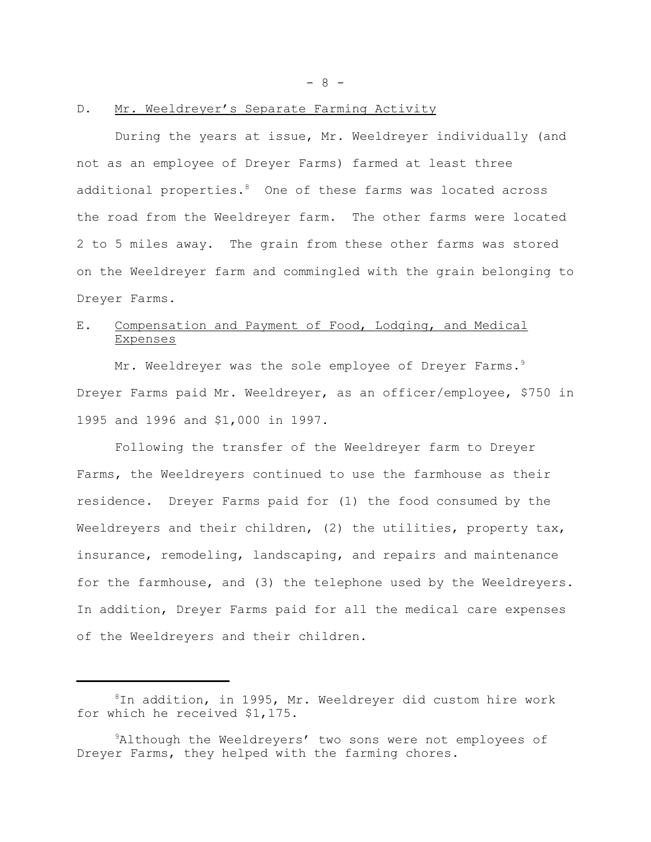- 8 -

### D. Mr. Weeldreyer's Separate Farming Activity

During the years at issue, Mr. Weeldreyer individually (and not as an employee of Dreyer Farms) farmed at least three additional properties.<sup>8</sup> One of these farms was located across the road from the Weeldreyer farm. The other farms were located 2 to 5 miles away. The grain from these other farms was stored on the Weeldreyer farm and commingled with the grain belonging to Dreyer Farms.

# E. Compensation and Payment of Food, Lodging, and Medical Expenses

Mr. Weeldreyer was the sole employee of Dreyer Farms.<sup>9</sup> Dreyer Farms paid Mr. Weeldreyer, as an officer/employee, \$750 in 1995 and 1996 and \$1,000 in 1997.

Following the transfer of the Weeldreyer farm to Dreyer Farms, the Weeldreyers continued to use the farmhouse as their residence. Dreyer Farms paid for (1) the food consumed by the Weeldreyers and their children, (2) the utilities, property tax, insurance, remodeling, landscaping, and repairs and maintenance for the farmhouse, and (3) the telephone used by the Weeldreyers. In addition, Dreyer Farms paid for all the medical care expenses of the Weeldreyers and their children.

<sup>8</sup>In addition, in 1995, Mr. Weeldreyer did custom hire work for which he received \$1,175.

<sup>&</sup>lt;sup>9</sup>Although the Weeldreyers' two sons were not employees of Dreyer Farms, they helped with the farming chores.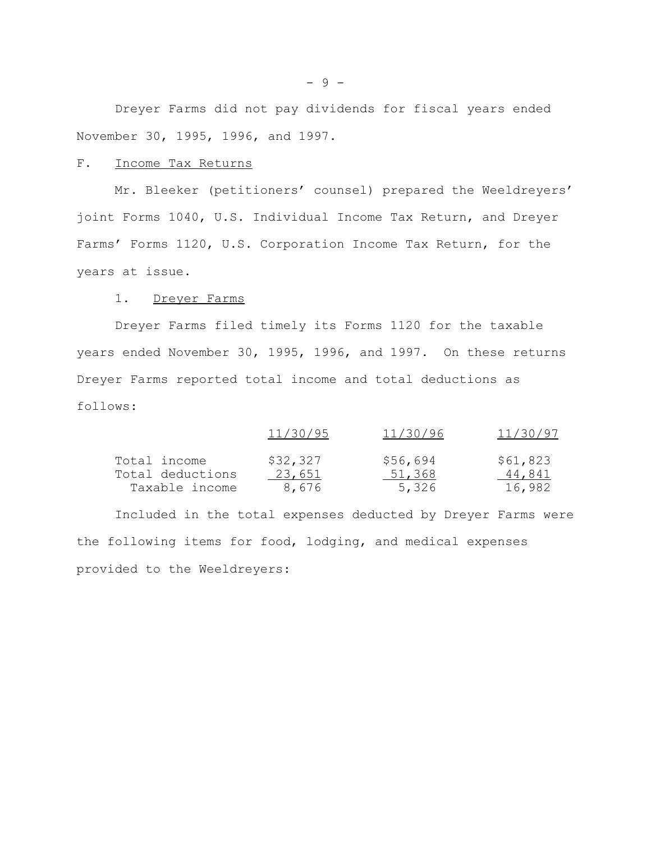Dreyer Farms did not pay dividends for fiscal years ended November 30, 1995, 1996, and 1997.

## F. Income Tax Returns

Mr. Bleeker (petitioners' counsel) prepared the Weeldreyers' joint Forms 1040, U.S. Individual Income Tax Return, and Dreyer Farms' Forms 1120, U.S. Corporation Income Tax Return, for the years at issue.

1. Dreyer Farms

Dreyer Farms filed timely its Forms 1120 for the taxable years ended November 30, 1995, 1996, and 1997. On these returns Dreyer Farms reported total income and total deductions as follows:

|                  | 11/30/95 | 11/30/96 | 11/30/97 |
|------------------|----------|----------|----------|
| Total income     | \$32,327 | \$56,694 | \$61,823 |
| Total deductions | 23,651   | 51,368   | 44,841   |
| Taxable income   | 8,676    | 5,326    | 16,982   |

Included in the total expenses deducted by Dreyer Farms were the following items for food, lodging, and medical expenses provided to the Weeldreyers: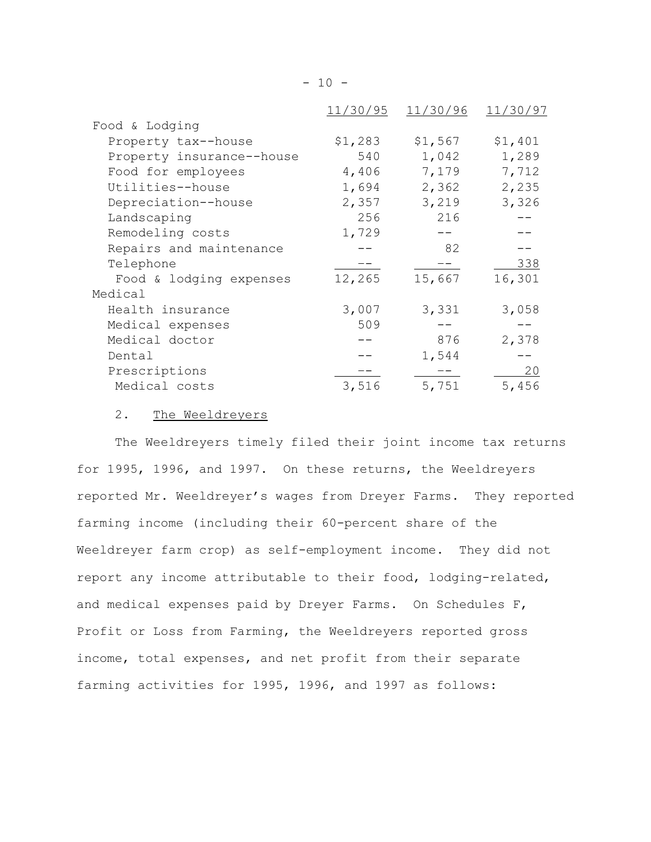| \$1,283<br>540 | \$1,567 | \$1,401 |
|----------------|---------|---------|
|                |         |         |
|                |         |         |
|                |         | 1,289   |
|                | 7,179   | 7,712   |
| 1,694          | 2,362   | 2,235   |
| 2,357          | 3,219   | 3,326   |
| 256            | 216     |         |
| 1,729          |         |         |
|                | 82      |         |
|                |         | 338     |
| 12,265         | 15,667  | 16,301  |
|                |         |         |
| 3,007          | 3,331   | 3,058   |
| 509            |         |         |
|                | 876     | 2,378   |
|                | 1,544   |         |
|                |         | 20      |
| 3,516          | 5,751   | 5,456   |
|                | 4,406   | 1,042   |

# 2. The Weeldreyers

The Weeldreyers timely filed their joint income tax returns for 1995, 1996, and 1997. On these returns, the Weeldreyers reported Mr. Weeldreyer's wages from Dreyer Farms. They reported farming income (including their 60-percent share of the Weeldreyer farm crop) as self-employment income. They did not report any income attributable to their food, lodging-related, and medical expenses paid by Dreyer Farms. On Schedules F, Profit or Loss from Farming, the Weeldreyers reported gross income, total expenses, and net profit from their separate farming activities for 1995, 1996, and 1997 as follows: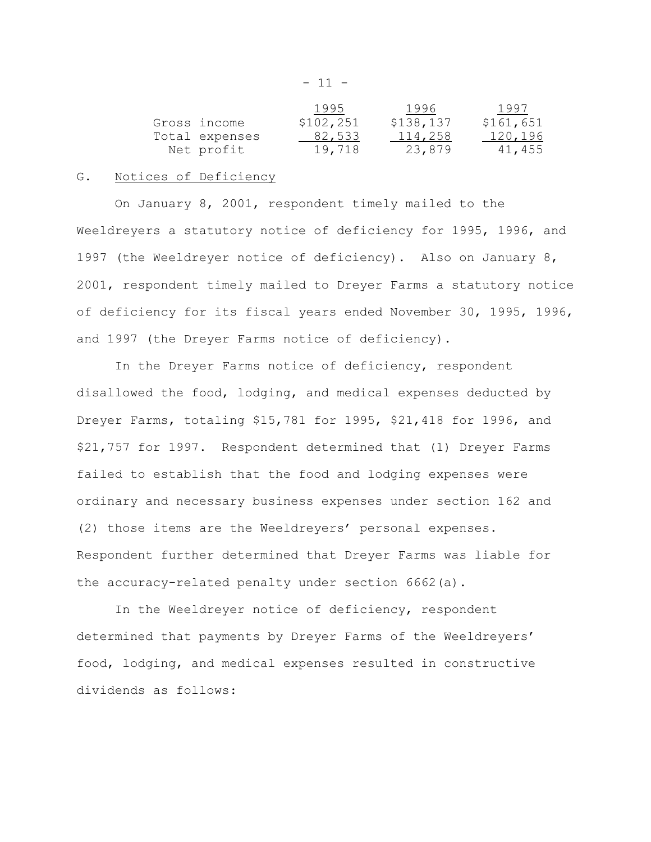$- 11 -$ 

|                | 1995      | 1996      | 1997      |
|----------------|-----------|-----------|-----------|
| Gross income   | \$102,251 | \$138,137 | \$161,651 |
| Total expenses | 82,533    | 114,258   | 120,196   |
| Net profit     | 19,718    | 23,879    | 41,455    |

## G. Notices of Deficiency

On January 8, 2001, respondent timely mailed to the Weeldreyers a statutory notice of deficiency for 1995, 1996, and 1997 (the Weeldreyer notice of deficiency). Also on January 8, 2001, respondent timely mailed to Dreyer Farms a statutory notice of deficiency for its fiscal years ended November 30, 1995, 1996, and 1997 (the Dreyer Farms notice of deficiency).

In the Dreyer Farms notice of deficiency, respondent disallowed the food, lodging, and medical expenses deducted by Dreyer Farms, totaling \$15,781 for 1995, \$21,418 for 1996, and \$21,757 for 1997. Respondent determined that (1) Dreyer Farms failed to establish that the food and lodging expenses were ordinary and necessary business expenses under section 162 and (2) those items are the Weeldreyers' personal expenses. Respondent further determined that Dreyer Farms was liable for the accuracy-related penalty under section 6662(a).

In the Weeldreyer notice of deficiency, respondent determined that payments by Dreyer Farms of the Weeldreyers' food, lodging, and medical expenses resulted in constructive dividends as follows: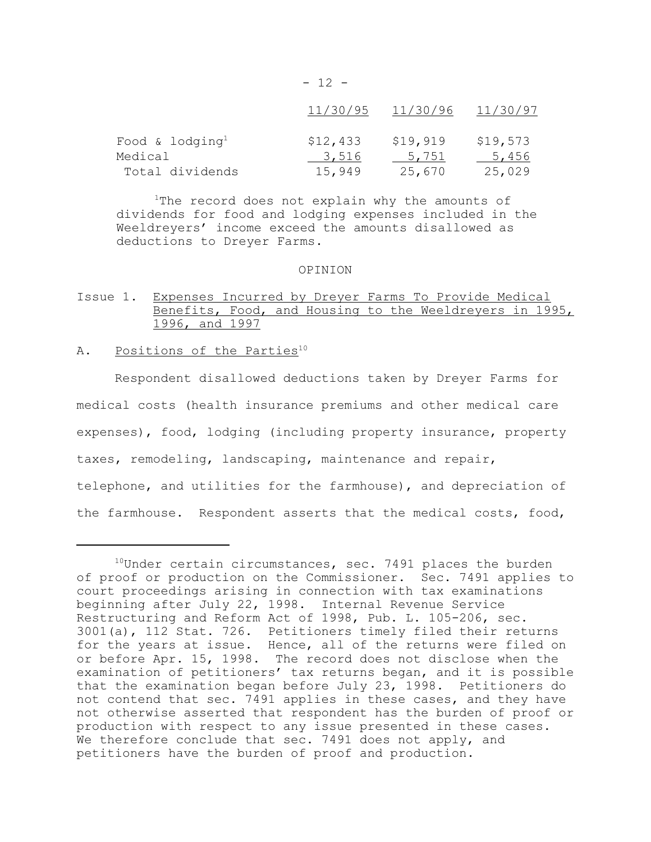|                             | 11/30/95 | 11/30/96 | 11/30/97 |
|-----------------------------|----------|----------|----------|
| Food & lodging <sup>1</sup> | \$12,433 | \$19,919 | \$19,573 |
| Medical                     | 3,516    | 5,751    | 5,456    |
| Total dividends             | 15,949   | 25,670   | 25,029   |

 $- 12 -$ 

 $1$ The record does not explain why the amounts of dividends for food and lodging expenses included in the Weeldreyers' income exceed the amounts disallowed as deductions to Dreyer Farms.

#### OPINION

# Issue 1. Expenses Incurred by Dreyer Farms To Provide Medical Benefits, Food, and Housing to the Weeldreyers in 1995, 1996, and 1997

## A. Positions of the Parties<sup>10</sup>

Respondent disallowed deductions taken by Dreyer Farms for medical costs (health insurance premiums and other medical care expenses), food, lodging (including property insurance, property taxes, remodeling, landscaping, maintenance and repair, telephone, and utilities for the farmhouse), and depreciation of the farmhouse. Respondent asserts that the medical costs, food,

 $10$ Under certain circumstances, sec. 7491 places the burden of proof or production on the Commissioner. Sec. 7491 applies to court proceedings arising in connection with tax examinations beginning after July 22, 1998. Internal Revenue Service Restructuring and Reform Act of 1998, Pub. L. 105-206, sec. 3001(a), 112 Stat. 726. Petitioners timely filed their returns for the years at issue. Hence, all of the returns were filed on or before Apr. 15, 1998. The record does not disclose when the examination of petitioners' tax returns began, and it is possible that the examination began before July 23, 1998. Petitioners do not contend that sec. 7491 applies in these cases, and they have not otherwise asserted that respondent has the burden of proof or production with respect to any issue presented in these cases. We therefore conclude that sec. 7491 does not apply, and petitioners have the burden of proof and production.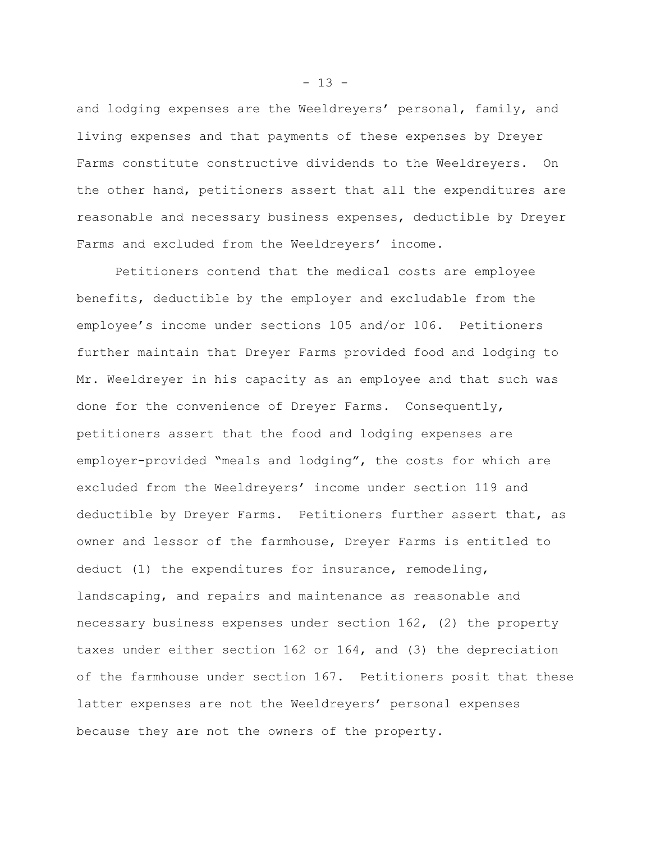and lodging expenses are the Weeldreyers' personal, family, and living expenses and that payments of these expenses by Dreyer Farms constitute constructive dividends to the Weeldreyers. On the other hand, petitioners assert that all the expenditures are reasonable and necessary business expenses, deductible by Dreyer Farms and excluded from the Weeldreyers' income.

Petitioners contend that the medical costs are employee benefits, deductible by the employer and excludable from the employee's income under sections 105 and/or 106. Petitioners further maintain that Dreyer Farms provided food and lodging to Mr. Weeldreyer in his capacity as an employee and that such was done for the convenience of Dreyer Farms. Consequently, petitioners assert that the food and lodging expenses are employer-provided "meals and lodging", the costs for which are excluded from the Weeldreyers' income under section 119 and deductible by Dreyer Farms. Petitioners further assert that, as owner and lessor of the farmhouse, Dreyer Farms is entitled to deduct (1) the expenditures for insurance, remodeling, landscaping, and repairs and maintenance as reasonable and necessary business expenses under section 162, (2) the property taxes under either section 162 or 164, and (3) the depreciation of the farmhouse under section 167. Petitioners posit that these latter expenses are not the Weeldreyers' personal expenses because they are not the owners of the property.

 $- 13 -$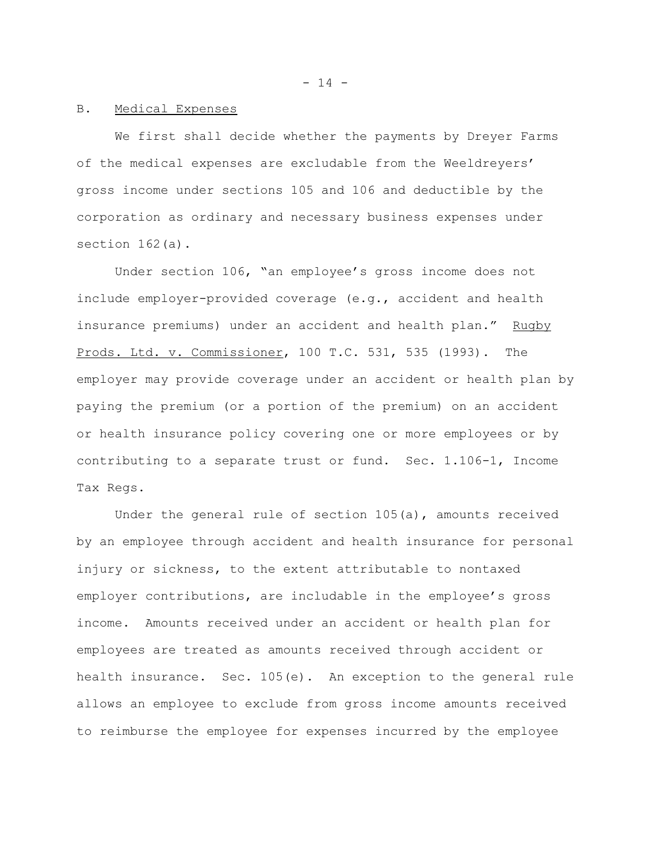$- 14 -$ 

## B. Medical Expenses

We first shall decide whether the payments by Dreyer Farms of the medical expenses are excludable from the Weeldreyers' gross income under sections 105 and 106 and deductible by the corporation as ordinary and necessary business expenses under section 162(a).

Under section 106, "an employee's gross income does not include employer-provided coverage (e.g., accident and health insurance premiums) under an accident and health plan." Rugby Prods. Ltd. v. Commissioner, 100 T.C. 531, 535 (1993). The employer may provide coverage under an accident or health plan by paying the premium (or a portion of the premium) on an accident or health insurance policy covering one or more employees or by contributing to a separate trust or fund. Sec. 1.106-1, Income Tax Regs.

Under the general rule of section 105(a), amounts received by an employee through accident and health insurance for personal injury or sickness, to the extent attributable to nontaxed employer contributions, are includable in the employee's gross income. Amounts received under an accident or health plan for employees are treated as amounts received through accident or health insurance. Sec. 105(e). An exception to the general rule allows an employee to exclude from gross income amounts received to reimburse the employee for expenses incurred by the employee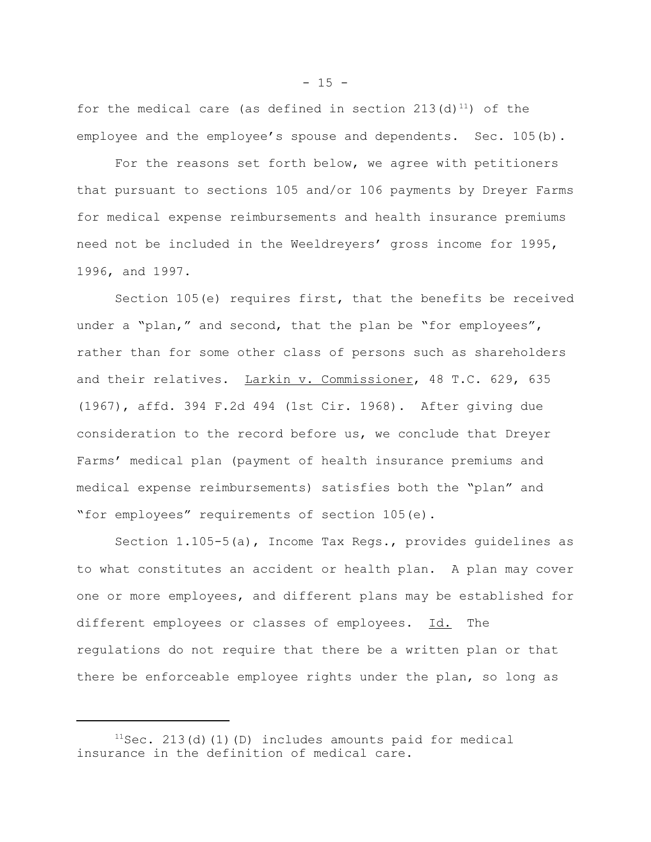for the medical care (as defined in section 213(d)<sup>11</sup>) of the employee and the employee's spouse and dependents. Sec. 105(b).

For the reasons set forth below, we agree with petitioners that pursuant to sections 105 and/or 106 payments by Dreyer Farms for medical expense reimbursements and health insurance premiums need not be included in the Weeldreyers' gross income for 1995, 1996, and 1997.

Section 105(e) requires first, that the benefits be received under a "plan," and second, that the plan be "for employees", rather than for some other class of persons such as shareholders and their relatives. Larkin v. Commissioner, 48 T.C. 629, 635 (1967), affd. 394 F.2d 494 (1st Cir. 1968). After giving due consideration to the record before us, we conclude that Dreyer Farms' medical plan (payment of health insurance premiums and medical expense reimbursements) satisfies both the "plan" and "for employees" requirements of section 105(e).

Section 1.105-5(a), Income Tax Regs., provides guidelines as to what constitutes an accident or health plan. A plan may cover one or more employees, and different plans may be established for different employees or classes of employees. Id. The regulations do not require that there be a written plan or that there be enforceable employee rights under the plan, so long as

 $11$ Sec. 213(d)(1)(D) includes amounts paid for medical insurance in the definition of medical care.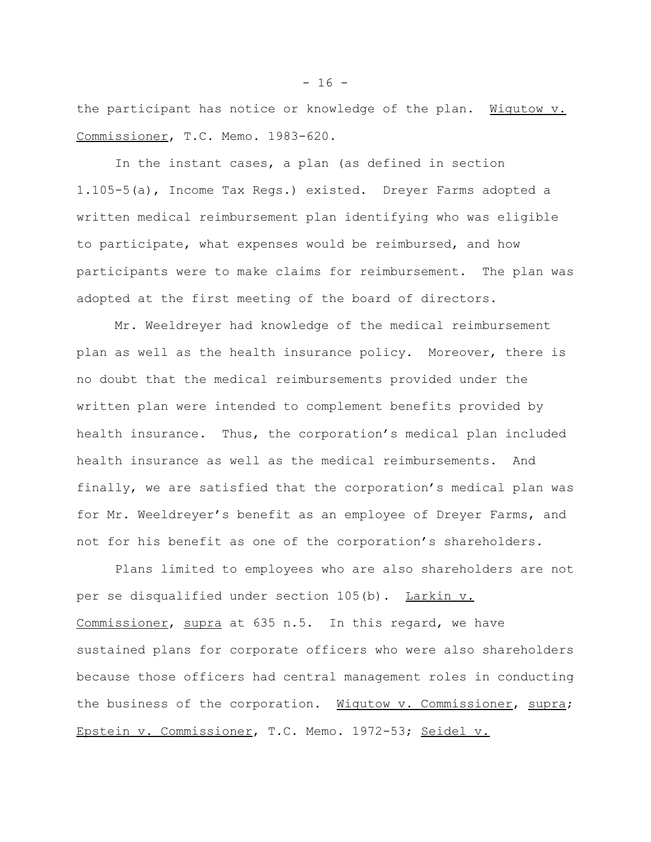the participant has notice or knowledge of the plan. Wigutow v. Commissioner, T.C. Memo. 1983-620.

In the instant cases, a plan (as defined in section 1.105-5(a), Income Tax Regs.) existed. Dreyer Farms adopted a written medical reimbursement plan identifying who was eligible to participate, what expenses would be reimbursed, and how participants were to make claims for reimbursement. The plan was adopted at the first meeting of the board of directors.

Mr. Weeldreyer had knowledge of the medical reimbursement plan as well as the health insurance policy. Moreover, there is no doubt that the medical reimbursements provided under the written plan were intended to complement benefits provided by health insurance. Thus, the corporation's medical plan included health insurance as well as the medical reimbursements. And finally, we are satisfied that the corporation's medical plan was for Mr. Weeldreyer's benefit as an employee of Dreyer Farms, and not for his benefit as one of the corporation's shareholders.

Plans limited to employees who are also shareholders are not per se disqualified under section 105(b). Larkin v. Commissioner, supra at 635 n.5. In this regard, we have sustained plans for corporate officers who were also shareholders because those officers had central management roles in conducting the business of the corporation. Wigutow v. Commissioner, supra; Epstein v. Commissioner, T.C. Memo. 1972-53; Seidel v.

 $- 16 -$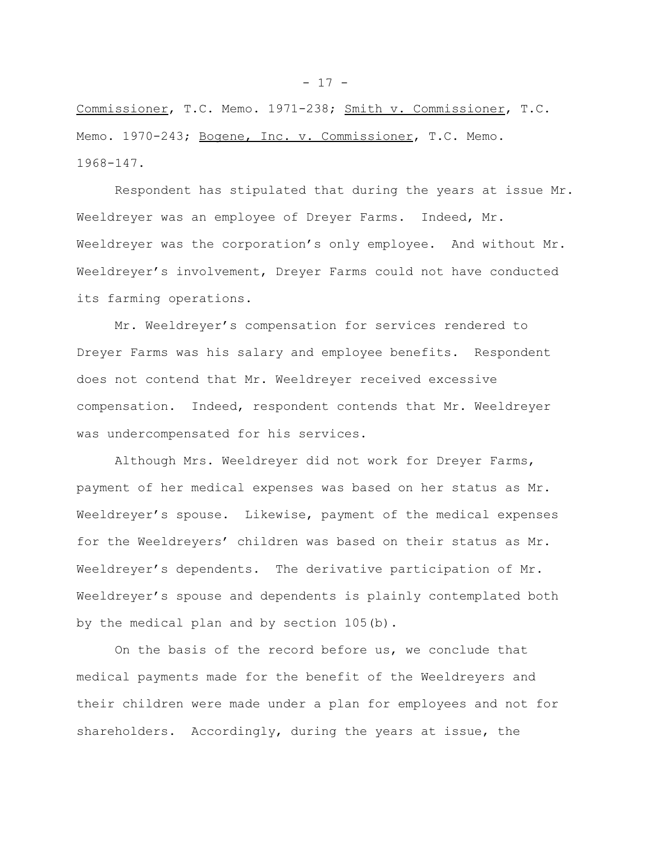Commissioner, T.C. Memo. 1971-238; Smith v. Commissioner, T.C. Memo. 1970-243; Bogene, Inc. v. Commissioner, T.C. Memo. 1968-147.

Respondent has stipulated that during the years at issue Mr. Weeldreyer was an employee of Dreyer Farms. Indeed, Mr. Weeldreyer was the corporation's only employee. And without Mr. Weeldreyer's involvement, Dreyer Farms could not have conducted its farming operations.

Mr. Weeldreyer's compensation for services rendered to Dreyer Farms was his salary and employee benefits. Respondent does not contend that Mr. Weeldreyer received excessive compensation. Indeed, respondent contends that Mr. Weeldreyer was undercompensated for his services.

Although Mrs. Weeldreyer did not work for Dreyer Farms, payment of her medical expenses was based on her status as Mr. Weeldreyer's spouse. Likewise, payment of the medical expenses for the Weeldreyers' children was based on their status as Mr. Weeldreyer's dependents. The derivative participation of Mr. Weeldreyer's spouse and dependents is plainly contemplated both by the medical plan and by section 105(b).

On the basis of the record before us, we conclude that medical payments made for the benefit of the Weeldreyers and their children were made under a plan for employees and not for shareholders. Accordingly, during the years at issue, the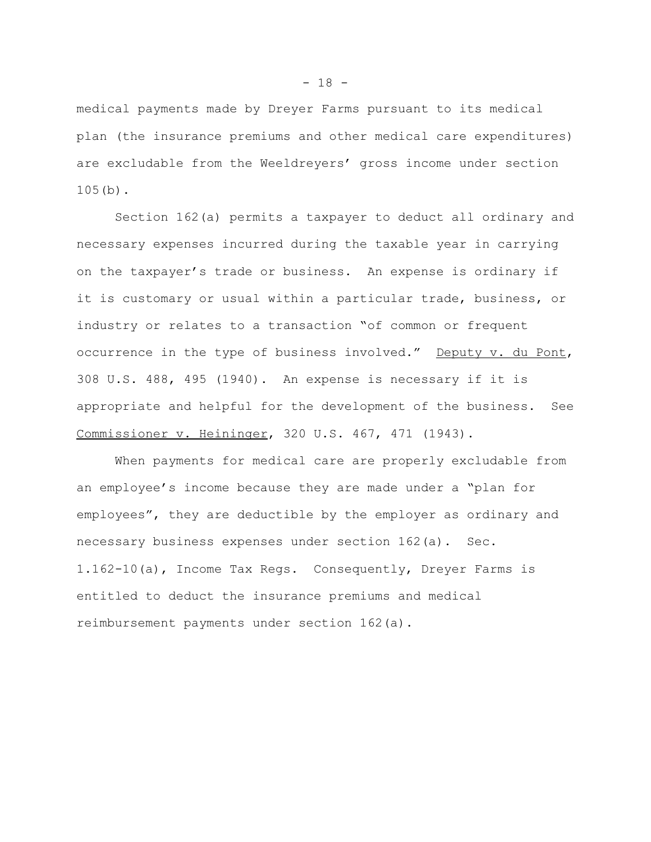medical payments made by Dreyer Farms pursuant to its medical plan (the insurance premiums and other medical care expenditures) are excludable from the Weeldreyers' gross income under section 105(b).

Section 162(a) permits a taxpayer to deduct all ordinary and necessary expenses incurred during the taxable year in carrying on the taxpayer's trade or business. An expense is ordinary if it is customary or usual within a particular trade, business, or industry or relates to a transaction "of common or frequent occurrence in the type of business involved." Deputy v. du Pont, 308 U.S. 488, 495 (1940). An expense is necessary if it is appropriate and helpful for the development of the business. See Commissioner v. Heininger, 320 U.S. 467, 471 (1943).

When payments for medical care are properly excludable from an employee's income because they are made under a "plan for employees", they are deductible by the employer as ordinary and necessary business expenses under section 162(a). Sec. 1.162-10(a), Income Tax Regs. Consequently, Dreyer Farms is entitled to deduct the insurance premiums and medical reimbursement payments under section 162(a).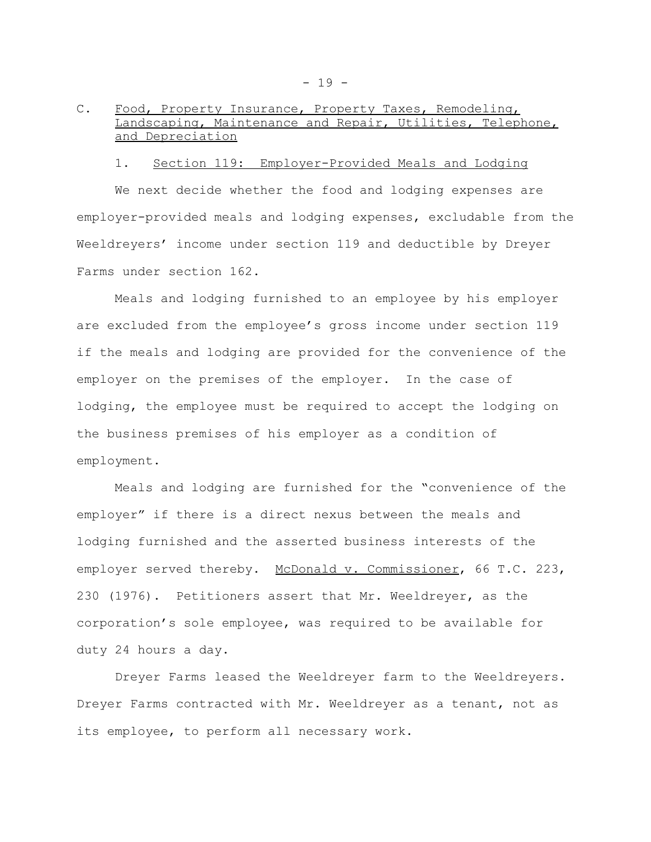# C. Food, Property Insurance, Property Taxes, Remodeling,<br>Landscaping, Maintenance and Repair. Utilities. Teleph Maintenance and Repair, Utilities, Telephone, and Depreciation

### 1. Section 119: Employer-Provided Meals and Lodging

We next decide whether the food and lodging expenses are employer-provided meals and lodging expenses, excludable from the Weeldreyers' income under section 119 and deductible by Dreyer Farms under section 162.

Meals and lodging furnished to an employee by his employer are excluded from the employee's gross income under section 119 if the meals and lodging are provided for the convenience of the employer on the premises of the employer. In the case of lodging, the employee must be required to accept the lodging on the business premises of his employer as a condition of employment.

Meals and lodging are furnished for the "convenience of the employer" if there is a direct nexus between the meals and lodging furnished and the asserted business interests of the employer served thereby. McDonald v. Commissioner, 66 T.C. 223, 230 (1976). Petitioners assert that Mr. Weeldreyer, as the corporation's sole employee, was required to be available for duty 24 hours a day.

Dreyer Farms leased the Weeldreyer farm to the Weeldreyers. Dreyer Farms contracted with Mr. Weeldreyer as a tenant, not as its employee, to perform all necessary work.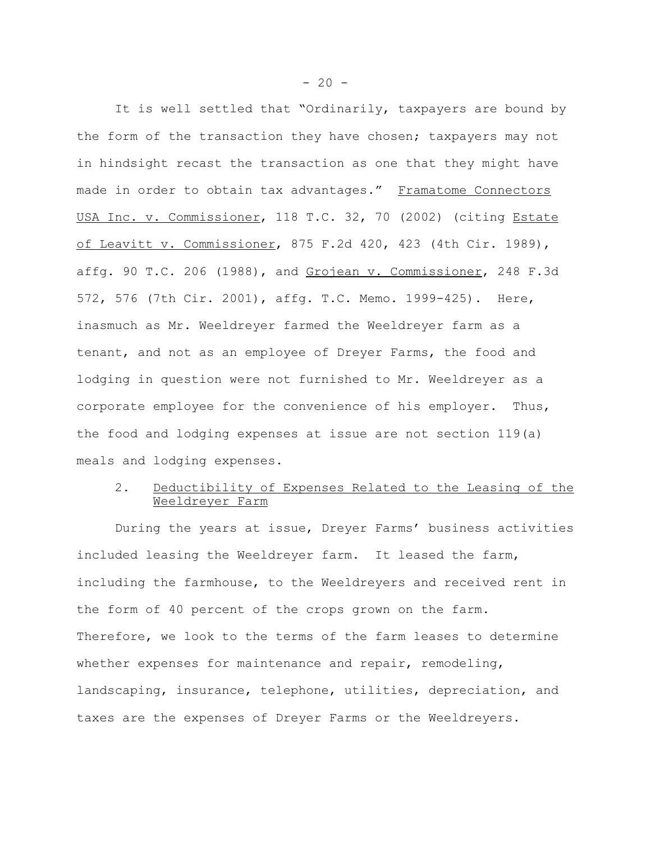It is well settled that "Ordinarily, taxpayers are bound by the form of the transaction they have chosen; taxpayers may not in hindsight recast the transaction as one that they might have made in order to obtain tax advantages." Framatome Connectors USA Inc. v. Commissioner, 118 T.C. 32, 70 (2002) (citing Estate of Leavitt v. Commissioner, 875 F.2d 420, 423 (4th Cir. 1989), affg. 90 T.C. 206 (1988), and Grojean v. Commissioner, 248 F.3d 572, 576 (7th Cir. 2001), affg. T.C. Memo. 1999-425). Here, inasmuch as Mr. Weeldreyer farmed the Weeldreyer farm as a tenant, and not as an employee of Dreyer Farms, the food and lodging in question were not furnished to Mr. Weeldreyer as a corporate employee for the convenience of his employer. Thus, the food and lodging expenses at issue are not section 119(a) meals and lodging expenses.

# 2. Deductibility of Expenses Related to the Leasing of the Weeldreyer Farm

During the years at issue, Dreyer Farms' business activities included leasing the Weeldreyer farm. It leased the farm, including the farmhouse, to the Weeldreyers and received rent in the form of 40 percent of the crops grown on the farm. Therefore, we look to the terms of the farm leases to determine whether expenses for maintenance and repair, remodeling, landscaping, insurance, telephone, utilities, depreciation, and taxes are the expenses of Dreyer Farms or the Weeldreyers.

 $-20 -$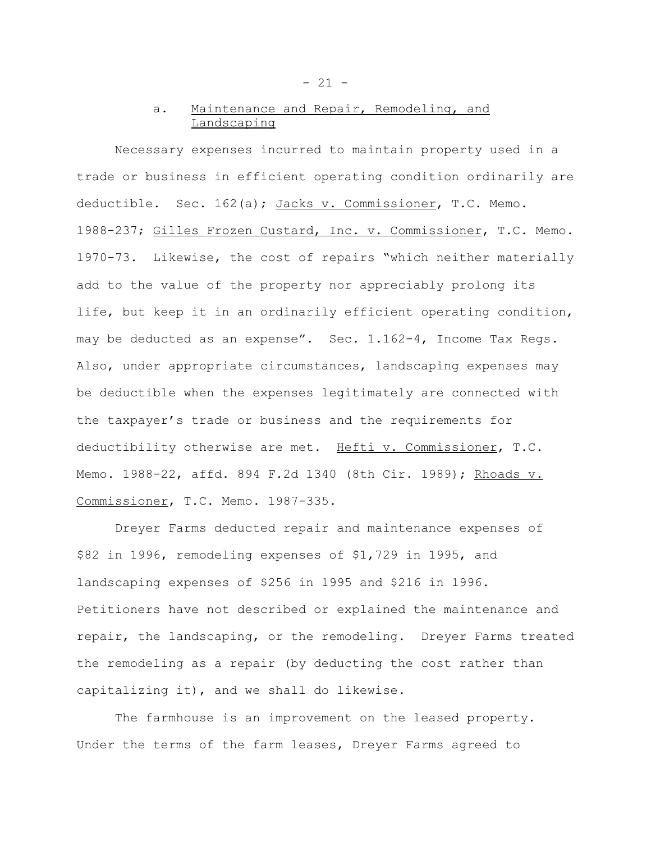# a. Maintenance and Repair, Remodeling, and Landscaping

Necessary expenses incurred to maintain property used in a trade or business in efficient operating condition ordinarily are deductible. Sec. 162(a); Jacks v. Commissioner, T.C. Memo. 1988-237; Gilles Frozen Custard, Inc. v. Commissioner, T.C. Memo. 1970-73. Likewise, the cost of repairs "which neither materially add to the value of the property nor appreciably prolong its life, but keep it in an ordinarily efficient operating condition, may be deducted as an expense". Sec. 1.162-4, Income Tax Regs. Also, under appropriate circumstances, landscaping expenses may be deductible when the expenses legitimately are connected with the taxpayer's trade or business and the requirements for deductibility otherwise are met. Hefti v. Commissioner, T.C. Memo. 1988-22, affd. 894 F.2d 1340 (8th Cir. 1989); Rhoads v. Commissioner, T.C. Memo. 1987-335.

Dreyer Farms deducted repair and maintenance expenses of \$82 in 1996, remodeling expenses of \$1,729 in 1995, and landscaping expenses of \$256 in 1995 and \$216 in 1996. Petitioners have not described or explained the maintenance and repair, the landscaping, or the remodeling. Dreyer Farms treated the remodeling as a repair (by deducting the cost rather than capitalizing it), and we shall do likewise.

The farmhouse is an improvement on the leased property. Under the terms of the farm leases, Dreyer Farms agreed to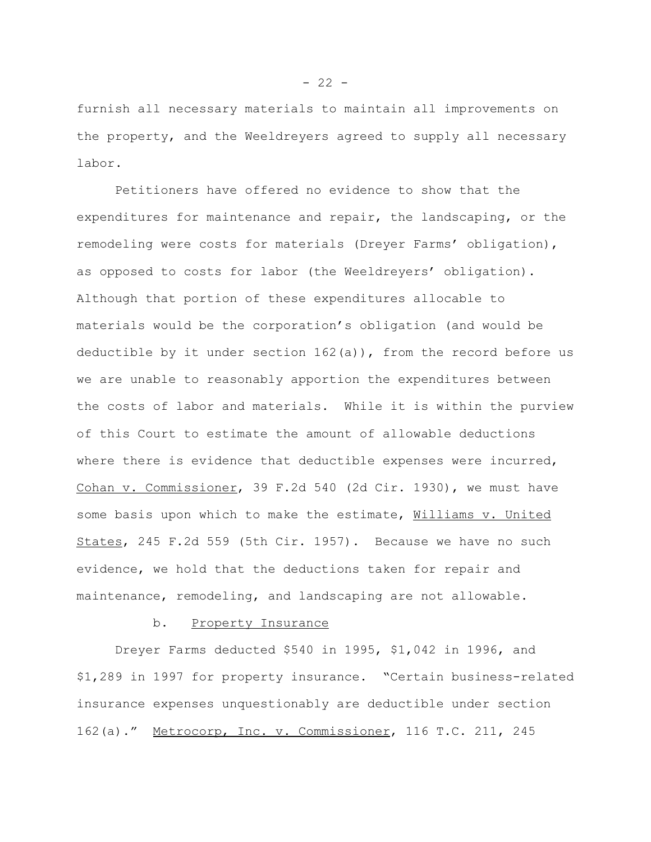furnish all necessary materials to maintain all improvements on the property, and the Weeldreyers agreed to supply all necessary labor.

Petitioners have offered no evidence to show that the expenditures for maintenance and repair, the landscaping, or the remodeling were costs for materials (Dreyer Farms' obligation), as opposed to costs for labor (the Weeldreyers' obligation). Although that portion of these expenditures allocable to materials would be the corporation's obligation (and would be deductible by it under section  $162(a)$ ), from the record before us we are unable to reasonably apportion the expenditures between the costs of labor and materials. While it is within the purview of this Court to estimate the amount of allowable deductions where there is evidence that deductible expenses were incurred, Cohan v. Commissioner, 39 F.2d 540 (2d Cir. 1930), we must have some basis upon which to make the estimate, Williams v. United States, 245 F.2d 559 (5th Cir. 1957). Because we have no such evidence, we hold that the deductions taken for repair and maintenance, remodeling, and landscaping are not allowable.

#### b. Property Insurance

Dreyer Farms deducted \$540 in 1995, \$1,042 in 1996, and \$1,289 in 1997 for property insurance. "Certain business-related insurance expenses unquestionably are deductible under section 162(a)." Metrocorp, Inc. v. Commissioner, 116 T.C. 211, 245

 $- 22 -$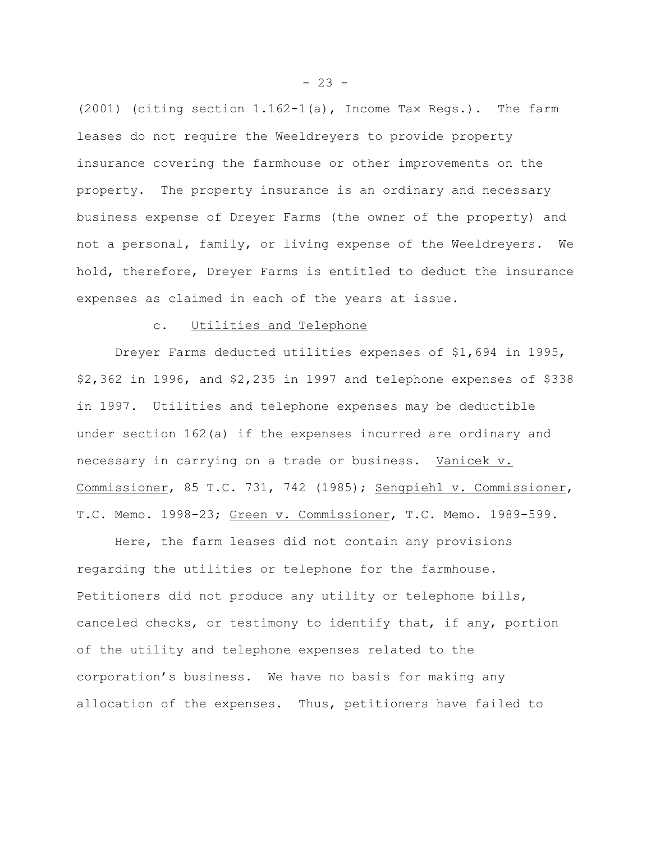(2001) (citing section 1.162-1(a), Income Tax Regs.). The farm leases do not require the Weeldreyers to provide property insurance covering the farmhouse or other improvements on the property. The property insurance is an ordinary and necessary business expense of Dreyer Farms (the owner of the property) and not a personal, family, or living expense of the Weeldreyers. We hold, therefore, Dreyer Farms is entitled to deduct the insurance expenses as claimed in each of the years at issue.

## c. Utilities and Telephone

Dreyer Farms deducted utilities expenses of \$1,694 in 1995, \$2,362 in 1996, and \$2,235 in 1997 and telephone expenses of \$338 in 1997. Utilities and telephone expenses may be deductible under section 162(a) if the expenses incurred are ordinary and necessary in carrying on a trade or business. Vanicek v. Commissioner, 85 T.C. 731, 742 (1985); Sengpiehl v. Commissioner, T.C. Memo. 1998-23; Green v. Commissioner, T.C. Memo. 1989-599.

Here, the farm leases did not contain any provisions regarding the utilities or telephone for the farmhouse. Petitioners did not produce any utility or telephone bills, canceled checks, or testimony to identify that, if any, portion of the utility and telephone expenses related to the corporation's business. We have no basis for making any allocation of the expenses. Thus, petitioners have failed to

 $- 23 -$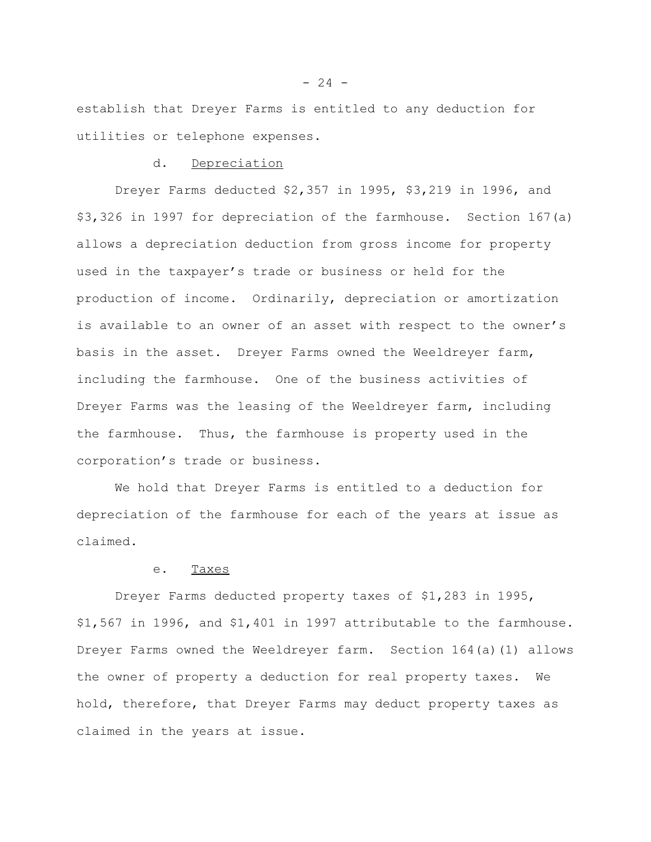establish that Dreyer Farms is entitled to any deduction for utilities or telephone expenses.

## d. Depreciation

Dreyer Farms deducted \$2,357 in 1995, \$3,219 in 1996, and \$3,326 in 1997 for depreciation of the farmhouse. Section 167(a) allows a depreciation deduction from gross income for property used in the taxpayer's trade or business or held for the production of income. Ordinarily, depreciation or amortization is available to an owner of an asset with respect to the owner's basis in the asset. Dreyer Farms owned the Weeldreyer farm, including the farmhouse. One of the business activities of Dreyer Farms was the leasing of the Weeldreyer farm, including the farmhouse. Thus, the farmhouse is property used in the corporation's trade or business.

We hold that Dreyer Farms is entitled to a deduction for depreciation of the farmhouse for each of the years at issue as claimed.

#### e. Taxes

Dreyer Farms deducted property taxes of \$1,283 in 1995, \$1,567 in 1996, and \$1,401 in 1997 attributable to the farmhouse. Dreyer Farms owned the Weeldreyer farm. Section 164(a)(1) allows the owner of property a deduction for real property taxes. We hold, therefore, that Dreyer Farms may deduct property taxes as claimed in the years at issue.

 $- 24 -$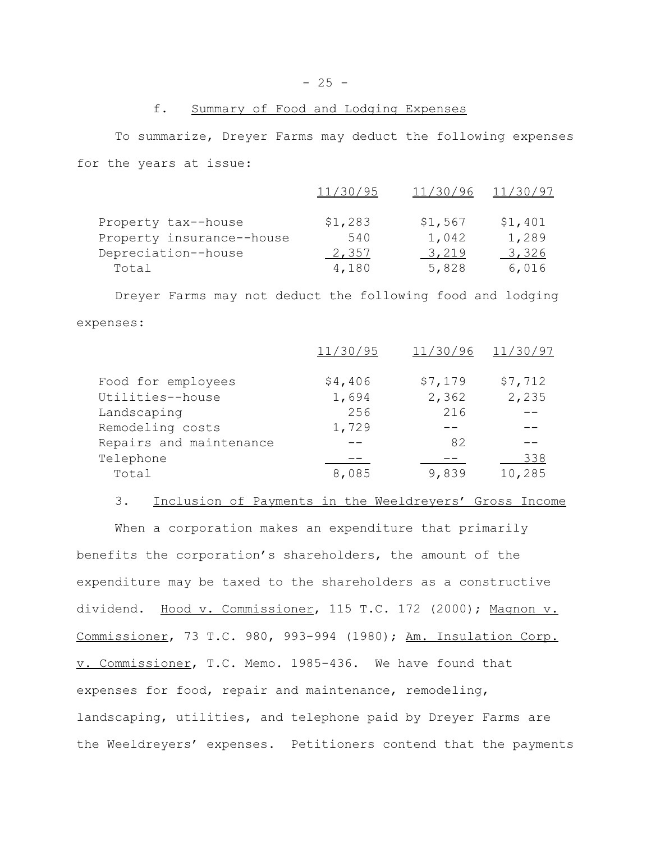# f. Summary of Food and Lodging Expenses

To summarize, Dreyer Farms may deduct the following expenses for the years at issue:

|                           | 11/30/95 | 11/30/96 | 11/30/97 |
|---------------------------|----------|----------|----------|
| Property tax--house       | \$1,283  | \$1,567  | \$1,401  |
| Property insurance--house | 540      | 1,042    | 1,289    |
| Depreciation--house       | 2,357    | 3,219    | 3,326    |
| Total                     | 4,180    | 5,828    | 6,016    |

Dreyer Farms may not deduct the following food and lodging expenses:

|                         | 11/30/95 | 11/30/96 | 11/30/97 |
|-------------------------|----------|----------|----------|
| Food for employees      | \$4,406  | \$7,179  | \$7,712  |
| Utilities--house        | 1,694    | 2,362    | 2,235    |
| Landscaping             | 256      | 216      |          |
| Remodeling costs        | 1,729    |          |          |
| Repairs and maintenance |          | 82       |          |
| Telephone               |          |          | 338      |
| Total                   | 8,085    | 9,839    | 10,285   |
|                         |          |          |          |

3. Inclusion of Payments in the Weeldreyers' Gross Income

When a corporation makes an expenditure that primarily benefits the corporation's shareholders, the amount of the expenditure may be taxed to the shareholders as a constructive dividend. Hood v. Commissioner, 115 T.C. 172 (2000); Magnon v. Commissioner, 73 T.C. 980, 993-994 (1980); Am. Insulation Corp. v. Commissioner, T.C. Memo. 1985-436. We have found that expenses for food, repair and maintenance, remodeling, landscaping, utilities, and telephone paid by Dreyer Farms are the Weeldreyers' expenses. Petitioners contend that the payments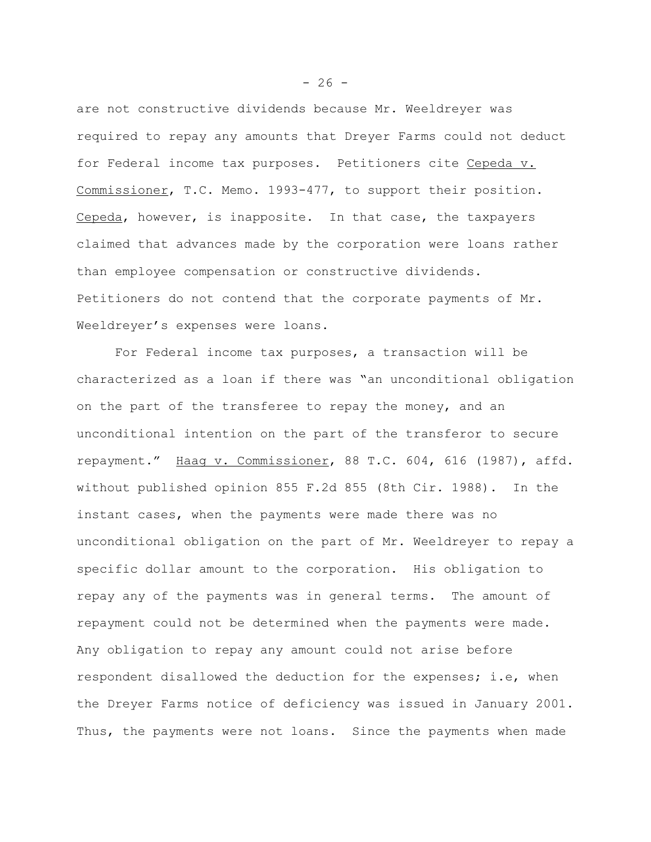are not constructive dividends because Mr. Weeldreyer was required to repay any amounts that Dreyer Farms could not deduct for Federal income tax purposes. Petitioners cite Cepeda v. Commissioner, T.C. Memo. 1993-477, to support their position. Cepeda, however, is inapposite. In that case, the taxpayers claimed that advances made by the corporation were loans rather than employee compensation or constructive dividends. Petitioners do not contend that the corporate payments of Mr. Weeldreyer's expenses were loans.

For Federal income tax purposes, a transaction will be characterized as a loan if there was "an unconditional obligation on the part of the transferee to repay the money, and an unconditional intention on the part of the transferor to secure repayment." Haag v. Commissioner, 88 T.C. 604, 616 (1987), affd. without published opinion 855 F.2d 855 (8th Cir. 1988). In the instant cases, when the payments were made there was no unconditional obligation on the part of Mr. Weeldreyer to repay a specific dollar amount to the corporation. His obligation to repay any of the payments was in general terms. The amount of repayment could not be determined when the payments were made. Any obligation to repay any amount could not arise before respondent disallowed the deduction for the expenses; i.e, when the Dreyer Farms notice of deficiency was issued in January 2001. Thus, the payments were not loans. Since the payments when made

 $- 26 -$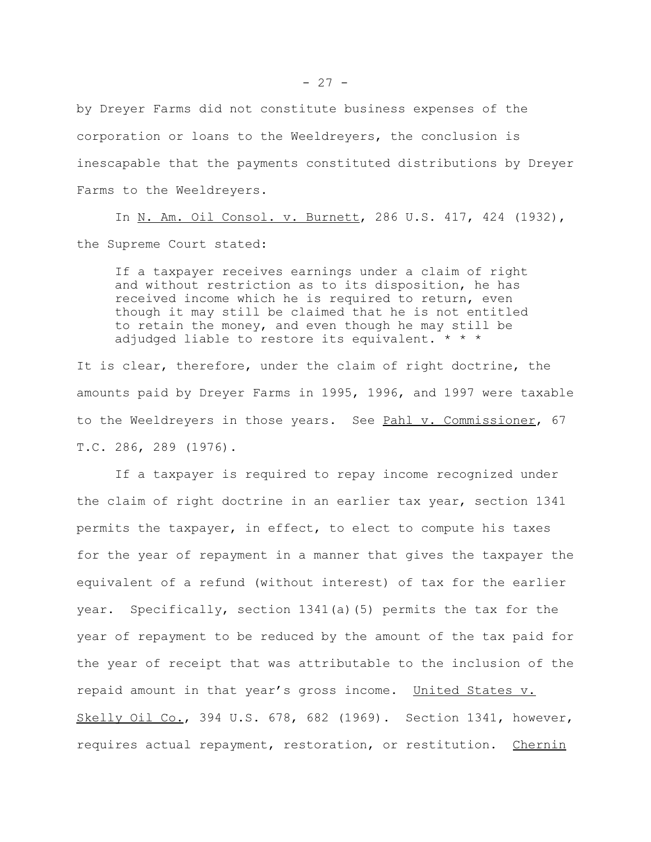by Dreyer Farms did not constitute business expenses of the corporation or loans to the Weeldreyers, the conclusion is inescapable that the payments constituted distributions by Dreyer Farms to the Weeldreyers.

In N. Am. Oil Consol. v. Burnett, 286 U.S. 417, 424 (1932), the Supreme Court stated:

If a taxpayer receives earnings under a claim of right and without restriction as to its disposition, he has received income which he is required to return, even though it may still be claimed that he is not entitled to retain the money, and even though he may still be adjudged liable to restore its equivalent. \* \* \*

It is clear, therefore, under the claim of right doctrine, the amounts paid by Dreyer Farms in 1995, 1996, and 1997 were taxable to the Weeldreyers in those years. See Pahl v. Commissioner, 67 T.C. 286, 289 (1976).

If a taxpayer is required to repay income recognized under the claim of right doctrine in an earlier tax year, section 1341 permits the taxpayer, in effect, to elect to compute his taxes for the year of repayment in a manner that gives the taxpayer the equivalent of a refund (without interest) of tax for the earlier year. Specifically, section 1341(a)(5) permits the tax for the year of repayment to be reduced by the amount of the tax paid for the year of receipt that was attributable to the inclusion of the repaid amount in that year's gross income. United States v. Skelly Oil Co., 394 U.S. 678, 682 (1969). Section 1341, however, requires actual repayment, restoration, or restitution. Chernin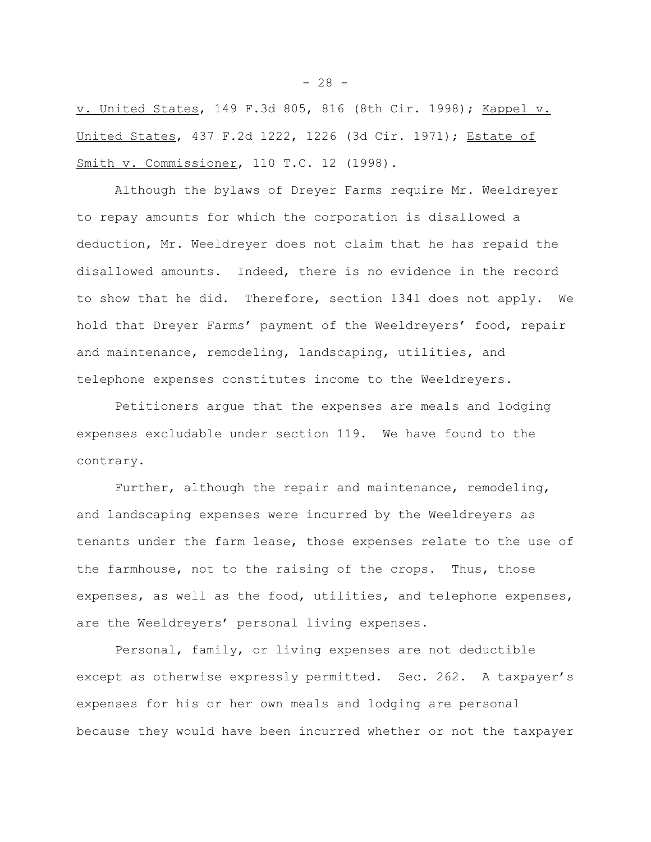v. United States, 149 F.3d 805, 816 (8th Cir. 1998); Kappel v. United States, 437 F.2d 1222, 1226 (3d Cir. 1971); Estate of Smith v. Commissioner, 110 T.C. 12 (1998).

Although the bylaws of Dreyer Farms require Mr. Weeldreyer to repay amounts for which the corporation is disallowed a deduction, Mr. Weeldreyer does not claim that he has repaid the disallowed amounts. Indeed, there is no evidence in the record to show that he did. Therefore, section 1341 does not apply. We hold that Dreyer Farms' payment of the Weeldreyers' food, repair and maintenance, remodeling, landscaping, utilities, and telephone expenses constitutes income to the Weeldreyers.

Petitioners argue that the expenses are meals and lodging expenses excludable under section 119. We have found to the contrary.

Further, although the repair and maintenance, remodeling, and landscaping expenses were incurred by the Weeldreyers as tenants under the farm lease, those expenses relate to the use of the farmhouse, not to the raising of the crops. Thus, those expenses, as well as the food, utilities, and telephone expenses, are the Weeldreyers' personal living expenses.

Personal, family, or living expenses are not deductible except as otherwise expressly permitted. Sec. 262. A taxpayer's expenses for his or her own meals and lodging are personal because they would have been incurred whether or not the taxpayer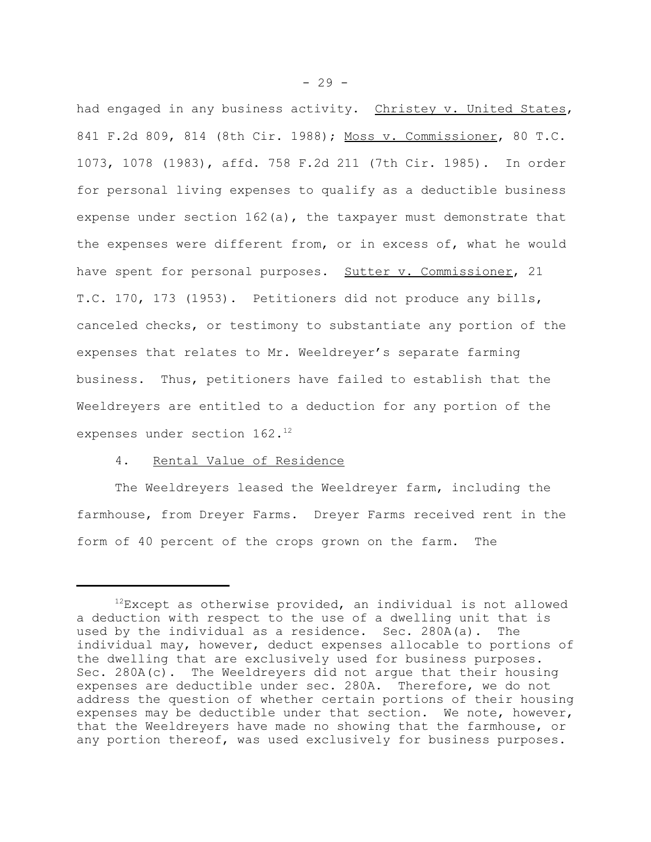had engaged in any business activity. Christey v. United States, 841 F.2d 809, 814 (8th Cir. 1988); Moss v. Commissioner, 80 T.C. 1073, 1078 (1983), affd. 758 F.2d 211 (7th Cir. 1985). In order for personal living expenses to qualify as a deductible business expense under section 162(a), the taxpayer must demonstrate that the expenses were different from, or in excess of, what he would have spent for personal purposes. Sutter v. Commissioner, 21 T.C. 170, 173 (1953). Petitioners did not produce any bills, canceled checks, or testimony to substantiate any portion of the expenses that relates to Mr. Weeldreyer's separate farming business. Thus, petitioners have failed to establish that the Weeldreyers are entitled to a deduction for any portion of the expenses under section 162.<sup>12</sup>

### 4. Rental Value of Residence

The Weeldreyers leased the Weeldreyer farm, including the farmhouse, from Dreyer Farms. Dreyer Farms received rent in the form of 40 percent of the crops grown on the farm. The

 $12$ Except as otherwise provided, an individual is not allowed a deduction with respect to the use of a dwelling unit that is used by the individual as a residence. Sec. 280A(a). The individual may, however, deduct expenses allocable to portions of the dwelling that are exclusively used for business purposes. Sec. 280A(c). The Weeldreyers did not argue that their housing expenses are deductible under sec. 280A. Therefore, we do not address the question of whether certain portions of their housing expenses may be deductible under that section. We note, however, that the Weeldreyers have made no showing that the farmhouse, or any portion thereof, was used exclusively for business purposes.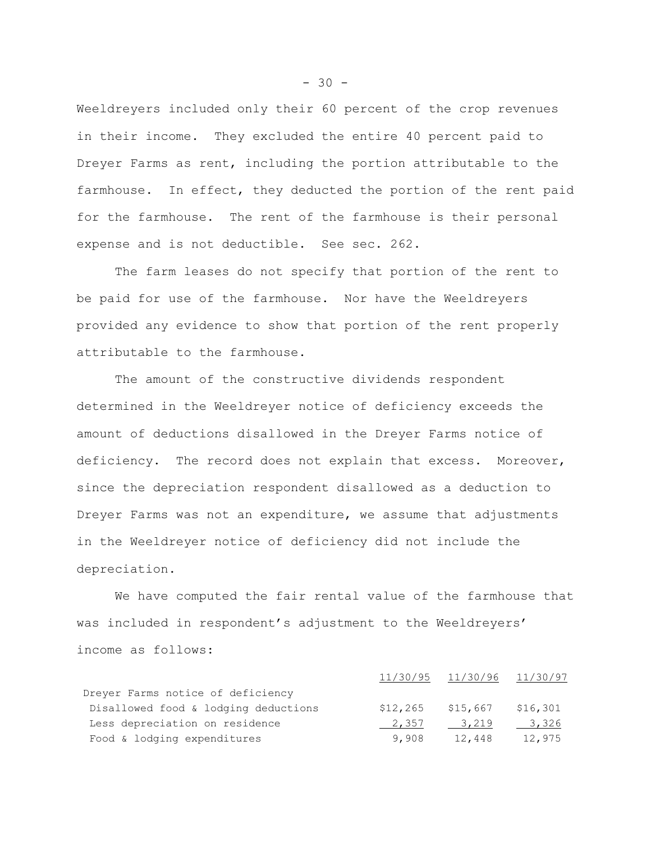Weeldreyers included only their 60 percent of the crop revenues in their income. They excluded the entire 40 percent paid to Dreyer Farms as rent, including the portion attributable to the farmhouse. In effect, they deducted the portion of the rent paid for the farmhouse. The rent of the farmhouse is their personal expense and is not deductible. See sec. 262.

The farm leases do not specify that portion of the rent to be paid for use of the farmhouse. Nor have the Weeldreyers provided any evidence to show that portion of the rent properly attributable to the farmhouse.

The amount of the constructive dividends respondent determined in the Weeldreyer notice of deficiency exceeds the amount of deductions disallowed in the Dreyer Farms notice of deficiency. The record does not explain that excess. Moreover, since the depreciation respondent disallowed as a deduction to Dreyer Farms was not an expenditure, we assume that adjustments in the Weeldreyer notice of deficiency did not include the depreciation.

We have computed the fair rental value of the farmhouse that was included in respondent's adjustment to the Weeldreyers' income as follows:

|                                      |          | 11/30/95 11/30/96 11/30/97 |          |
|--------------------------------------|----------|----------------------------|----------|
| Dreyer Farms notice of deficiency    |          |                            |          |
| Disallowed food & lodging deductions | \$12,265 | \$15,667                   | \$16,301 |
| Less depreciation on residence       | 2,357    | 3,219                      | 3,326    |
| Food & lodging expenditures          | 9,908    | 12,448                     | 12,975   |

 $-30 -$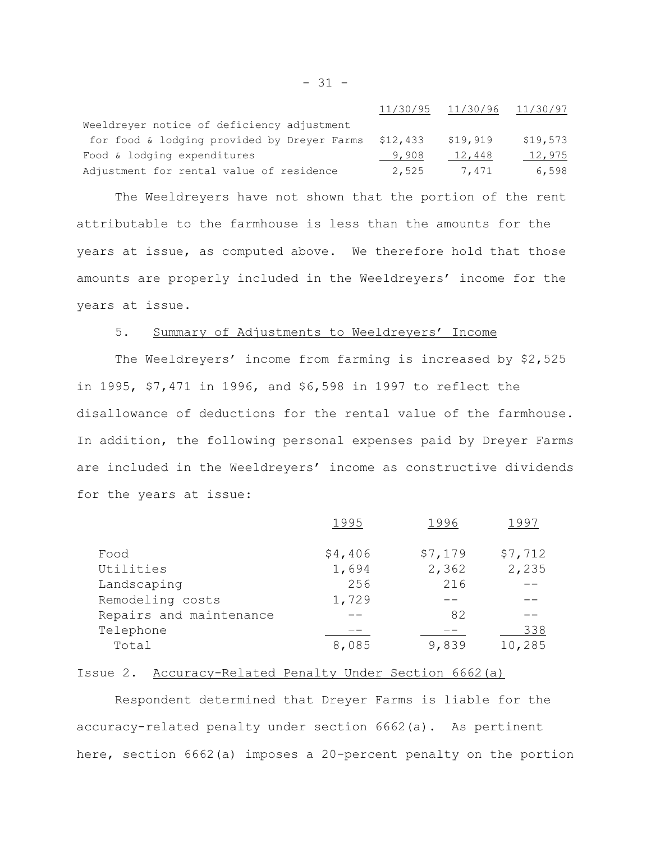|                                             |          | 11/30/95 11/30/96 11/30/97 |          |
|---------------------------------------------|----------|----------------------------|----------|
| Weeldreyer notice of deficiency adjustment  |          |                            |          |
| for food & lodging provided by Dreyer Farms | \$12,433 | \$19,919                   | \$19,573 |
| Food & lodging expenditures                 | 9,908    | 12,448                     | 12,975   |
| Adjustment for rental value of residence    | 2,525    | 7.471                      | 6,598    |

The Weeldreyers have not shown that the portion of the rent attributable to the farmhouse is less than the amounts for the years at issue, as computed above. We therefore hold that those amounts are properly included in the Weeldreyers' income for the years at issue.

# 5. Summary of Adjustments to Weeldreyers' Income

The Weeldreyers' income from farming is increased by \$2,525 in 1995, \$7,471 in 1996, and \$6,598 in 1997 to reflect the disallowance of deductions for the rental value of the farmhouse. In addition, the following personal expenses paid by Dreyer Farms are included in the Weeldreyers' income as constructive dividends for the years at issue:

|                         | 1995    | 1996    | 1991    |
|-------------------------|---------|---------|---------|
| Food                    | \$4,406 | \$7,179 | \$7,712 |
| Utilities               | 1,694   | 2,362   | 2,235   |
| Landscaping             | 256     | 216     |         |
| Remodeling costs        | 1,729   |         |         |
| Repairs and maintenance |         | 82      |         |
| Telephone               |         |         | 338     |
| Total                   | 8,085   | 9,839   | 10,285  |
|                         |         |         |         |

### Issue 2. Accuracy-Related Penalty Under Section 6662(a)

Respondent determined that Dreyer Farms is liable for the accuracy-related penalty under section 6662(a). As pertinent here, section 6662(a) imposes a 20-percent penalty on the portion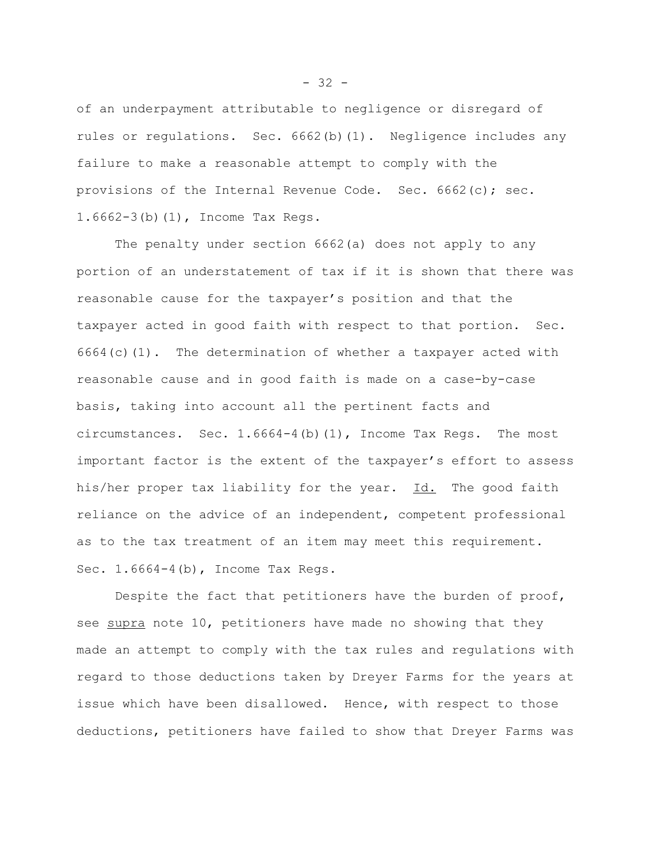of an underpayment attributable to negligence or disregard of rules or regulations. Sec. 6662(b)(1). Negligence includes any failure to make a reasonable attempt to comply with the provisions of the Internal Revenue Code. Sec. 6662(c); sec. 1.6662-3(b)(1), Income Tax Regs.

The penalty under section 6662(a) does not apply to any portion of an understatement of tax if it is shown that there was reasonable cause for the taxpayer's position and that the taxpayer acted in good faith with respect to that portion. Sec.  $6664(c)(1)$ . The determination of whether a taxpayer acted with reasonable cause and in good faith is made on a case-by-case basis, taking into account all the pertinent facts and circumstances. Sec.  $1.6664-4(b)(1)$ , Income Tax Regs. The most important factor is the extent of the taxpayer's effort to assess his/her proper tax liability for the year. Id. The good faith reliance on the advice of an independent, competent professional as to the tax treatment of an item may meet this requirement. Sec. 1.6664-4(b), Income Tax Regs.

Despite the fact that petitioners have the burden of proof, see supra note 10, petitioners have made no showing that they made an attempt to comply with the tax rules and regulations with regard to those deductions taken by Dreyer Farms for the years at issue which have been disallowed. Hence, with respect to those deductions, petitioners have failed to show that Dreyer Farms was

 $- 32 -$